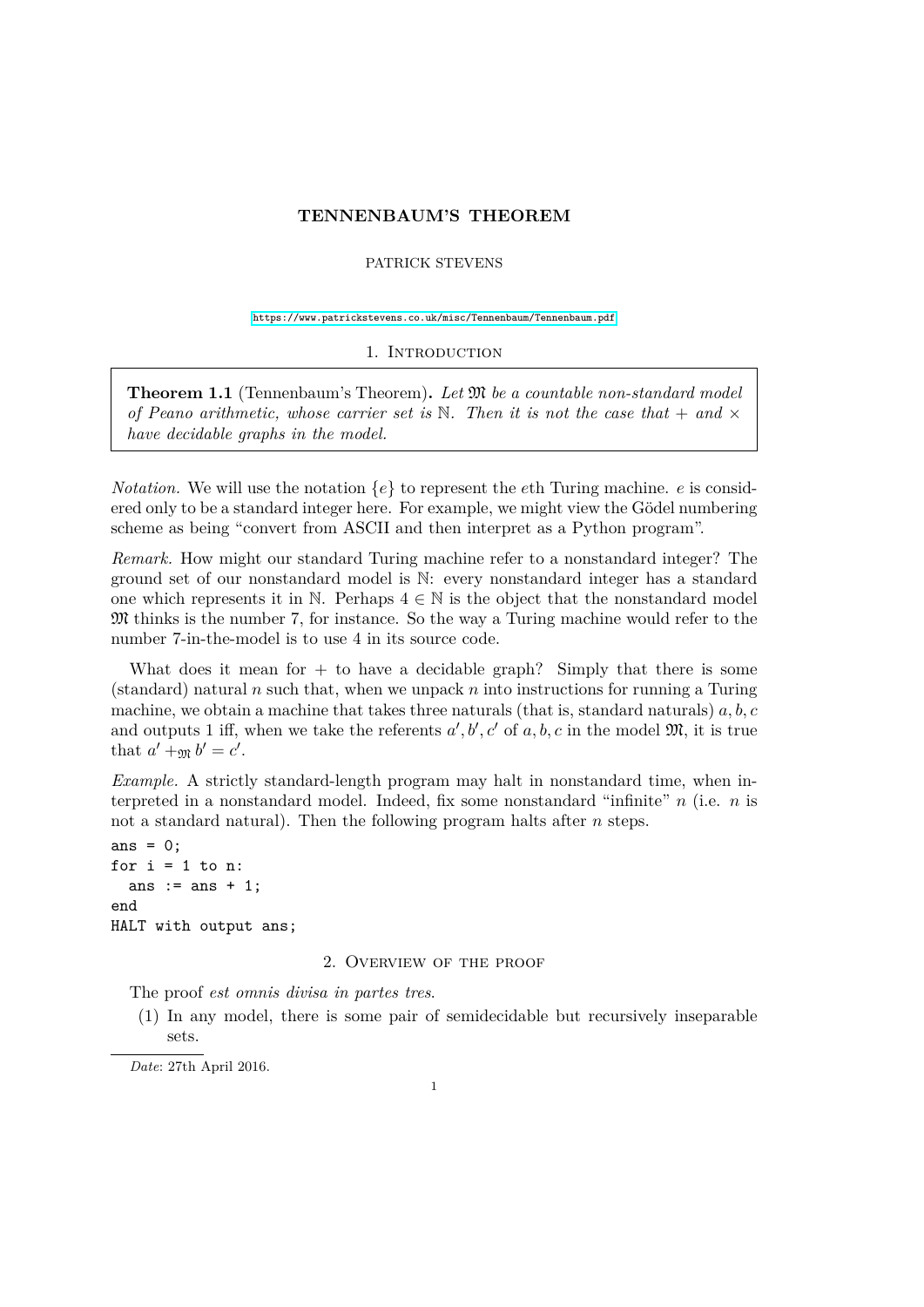# **TENNENBAUM'S THEOREM**

# PATRICK STEVENS

<https://www.patrickstevens.co.uk/misc/Tennenbaum/Tennenbaum.pdf>

1. INTRODUCTION

**Theorem 1.1** (Tennenbaum's Theorem)**.** *Let* M *be a countable non-standard model of Peano arithmetic, whose carrier set is*  $\mathbb N$ . Then it is not the case that  $+$  and  $\times$ *have decidable graphs in the model.*

*Notation.* We will use the notation  $\{e\}$  to represent the *eth* Turing machine. *e* is considered only to be a standard integer here. For example, we might view the Gödel numbering scheme as being "convert from ASCII and then interpret as a Python program".

*Remark.* How might our standard Turing machine refer to a nonstandard integer? The ground set of our nonstandard model is N: every nonstandard integer has a standard one which represents it in N. Perhaps  $4 \in \mathbb{N}$  is the object that the nonstandard model M thinks is the number 7, for instance. So the way a Turing machine would refer to the number 7-in-the-model is to use 4 in its source code.

What does it mean for  $+$  to have a decidable graph? Simply that there is some (standard) natural *n* such that, when we unpack *n* into instructions for running a Turing machine, we obtain a machine that takes three naturals (that is, standard naturals) *a, b, c* and outputs 1 iff, when we take the referents  $a', b', c'$  of  $a, b, c$  in the model  $\mathfrak{M}$ , it is true that  $a' +_{\mathfrak{M}} b' = c'$ .

*Example.* A strictly standard-length program may halt in nonstandard time, when interpreted in a nonstandard model. Indeed, fix some nonstandard "infinite" *n* (i.e. *n* is not a standard natural). Then the following program halts after *n* steps.

```
ans = 0:
for i = 1 to n:
  ans := ans +1:
end
HALT with output ans;
```
#### 2. Overview of the proof

The proof *est omnis divisa in partes tres*.

(1) In any model, there is some pair of semidecidable but recursively inseparable sets.

*Date*: 27th April 2016.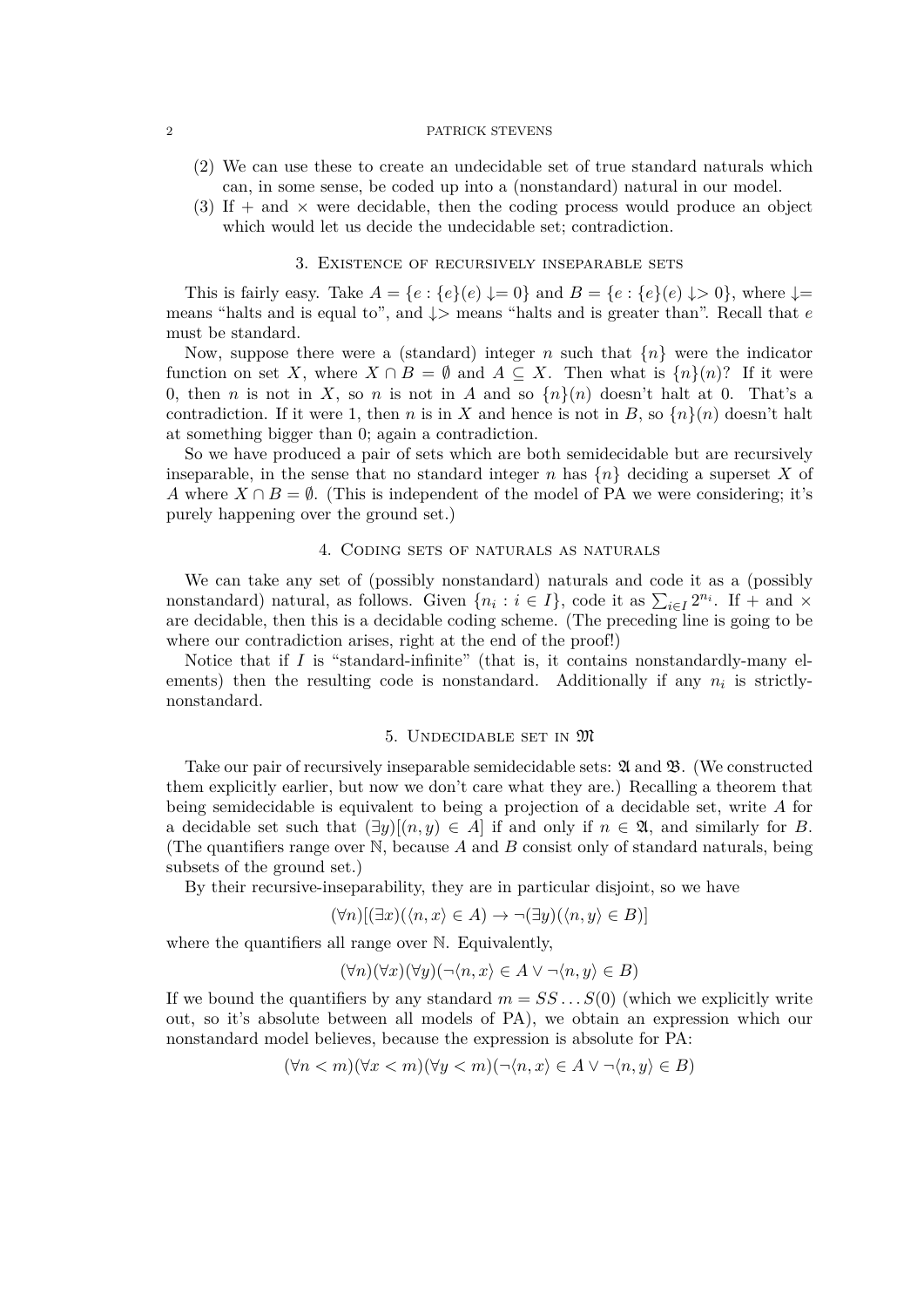#### 2 PATRICK STEVENS

- (2) We can use these to create an undecidable set of true standard naturals which can, in some sense, be coded up into a (nonstandard) natural in our model.
- (3) If  $+$  and  $\times$  were decidable, then the coding process would produce an object which would let us decide the undecidable set; contradiction.

# 3. Existence of recursively inseparable sets

This is fairly easy. Take  $A = \{e : \{e\}(e) \downarrow = 0\}$  and  $B = \{e : \{e\}(e) \downarrow > 0\}$ , where  $\downarrow =$ means "halts and is equal to", and ↓*>* means "halts and is greater than". Recall that *e* must be standard.

Now, suppose there were a (standard) integer *n* such that  $\{n\}$  were the indicator function on set *X*, where  $X \cap B = \emptyset$  and  $A \subseteq X$ . Then what is  $\{n\}(n)$ ? If it were 0, then *n* is not in *X*, so *n* is not in *A* and so  $\{n\}(n)$  doesn't halt at 0. That's a contradiction. If it were 1, then *n* is in *X* and hence is not in *B*, so  $\{n\}(n)$  doesn't halt at something bigger than 0; again a contradiction.

So we have produced a pair of sets which are both semidecidable but are recursively inseparable, in the sense that no standard integer *n* has  $\{n\}$  deciding a superset X of *A* where  $X \cap B = \emptyset$ . (This is independent of the model of PA we were considering; it's purely happening over the ground set.)

## 4. Coding sets of naturals as naturals

We can take any set of (possibly nonstandard) naturals and code it as a (possibly nonstandard) natural, as follows. Given  $\{n_i : i \in I\}$ , code it as  $\sum_{i \in I} 2^{n_i}$ . If  $+$  and  $\times$ are decidable, then this is a decidable coding scheme. (The preceding line is going to be where our contradiction arises, right at the end of the proof!)

Notice that if  $I$  is "standard-infinite" (that is, it contains nonstandardly-many elements) then the resulting code is nonstandard. Additionally if any  $n_i$  is strictlynonstandard.

#### 5. Undecidable set in M

Take our pair of recursively inseparable semidecidable sets:  $\mathfrak A$  and  $\mathfrak B$ . (We constructed them explicitly earlier, but now we don't care what they are.) Recalling a theorem that being semidecidable is equivalent to being a projection of a decidable set, write *A* for a decidable set such that  $(\exists y)[(n, y) \in A]$  if and only if  $n \in \mathfrak{A}$ , and similarly for *B*. (The quantifiers range over N, because *A* and *B* consist only of standard naturals, being subsets of the ground set.)

By their recursive-inseparability, they are in particular disjoint, so we have

$$
(\forall n)[(\exists x)(\langle n,x\rangle \in A) \rightarrow \neg(\exists y)(\langle n,y\rangle \in B)]
$$

where the quantifiers all range over N. Equivalently,

$$
(\forall n)(\forall x)(\forall y)(\neg \langle n, x \rangle \in A \lor \neg \langle n, y \rangle \in B)
$$

If we bound the quantifiers by any standard  $m = SS \dots S(0)$  (which we explicitly write out, so it's absolute between all models of PA), we obtain an expression which our nonstandard model believes, because the expression is absolute for PA:

$$
(\forall n < m)(\forall x < m)(\forall y < m)(\neg \langle n, x \rangle \in A \lor \neg \langle n, y \rangle \in B)
$$